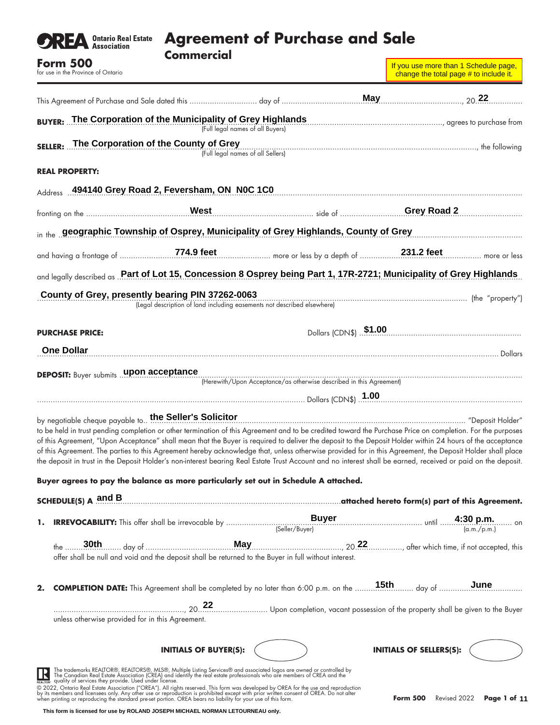| <b>OREA Ontario Real Estate</b> Agreement of Purchase and Sale |  |
|----------------------------------------------------------------|--|
| Commercial                                                     |  |

| Form 500<br>for use in the Province of Ontario                                                                                                                                                                                                                                                                                                                                                                                                                                                                                                                                                                                                                                                                                                                                                                                                | If you use more than 1 Schedule page,<br>change the total page # to include it. |
|-----------------------------------------------------------------------------------------------------------------------------------------------------------------------------------------------------------------------------------------------------------------------------------------------------------------------------------------------------------------------------------------------------------------------------------------------------------------------------------------------------------------------------------------------------------------------------------------------------------------------------------------------------------------------------------------------------------------------------------------------------------------------------------------------------------------------------------------------|---------------------------------------------------------------------------------|
|                                                                                                                                                                                                                                                                                                                                                                                                                                                                                                                                                                                                                                                                                                                                                                                                                                               |                                                                                 |
| BUYER: The Corporation of the Municipality of Grey Highlands <b>Example 2018</b> and the corporation of the Municipality of Grey Highlands<br>(Full legal names of all Buyers)                                                                                                                                                                                                                                                                                                                                                                                                                                                                                                                                                                                                                                                                |                                                                                 |
| SELLER: The Corporation of the County of Grey                                                                                                                                                                                                                                                                                                                                                                                                                                                                                                                                                                                                                                                                                                                                                                                                 | y v1 v1ey<br>(Full legal names of all Sellers)                                  |
| <b>REAL PROPERTY:</b>                                                                                                                                                                                                                                                                                                                                                                                                                                                                                                                                                                                                                                                                                                                                                                                                                         |                                                                                 |
| Address  494140 Grey Road 2, Feversham, ON NOC 1C0                                                                                                                                                                                                                                                                                                                                                                                                                                                                                                                                                                                                                                                                                                                                                                                            |                                                                                 |
|                                                                                                                                                                                                                                                                                                                                                                                                                                                                                                                                                                                                                                                                                                                                                                                                                                               |                                                                                 |
| in the <mark>.geographic Township of Osprey, Municipality of Grey Highlands, County of Grey</mark>                                                                                                                                                                                                                                                                                                                                                                                                                                                                                                                                                                                                                                                                                                                                            |                                                                                 |
|                                                                                                                                                                                                                                                                                                                                                                                                                                                                                                                                                                                                                                                                                                                                                                                                                                               |                                                                                 |
| and legally described as <b>Part of Lot 15, Concession 8 Osprey being Part 1, 17R-2721; Municipality of Grey Highlands</b>                                                                                                                                                                                                                                                                                                                                                                                                                                                                                                                                                                                                                                                                                                                    |                                                                                 |
| County of Grey, presently bearing PIN 37262-0063<br>(Legal description of land including easements not described elsewhere) [Legal description of land including easements not described elsewhere]                                                                                                                                                                                                                                                                                                                                                                                                                                                                                                                                                                                                                                           |                                                                                 |
| <b>PURCHASE PRICE:</b>                                                                                                                                                                                                                                                                                                                                                                                                                                                                                                                                                                                                                                                                                                                                                                                                                        |                                                                                 |
| <b>One Dollar</b>                                                                                                                                                                                                                                                                                                                                                                                                                                                                                                                                                                                                                                                                                                                                                                                                                             |                                                                                 |
| <b>DEPOSIT:</b> Buyer submits  upon acceptance<br>by negotiable cheque payable to <b>the Seller's Solicitor</b><br>by negotiable cheque payable to <del>the Seller's Solicitor</del><br>to be held in trust pending completion or other termination of this Agreement and to be credited toward the Purchase Price on completion. For the purposes<br>of this Agreement, "Upon Acceptance" shall mean that the Buyer is required to deliver the deposit to the Deposit Holder within 24 hours of the acceptance<br>of this Agreement. The parties to this Agreement hereby acknowledge that, unless otherwise provided for in this Agreement, the Deposit Holder shall place<br>the deposit in trust in the Deposit Holder's non-interest bearing Real Estate Trust Account and no interest shall be earned, received or paid on the deposit. |                                                                                 |
| Buyer agrees to pay the balance as more particularly set out in Schedule A attached.                                                                                                                                                                                                                                                                                                                                                                                                                                                                                                                                                                                                                                                                                                                                                          |                                                                                 |
| SCHEDULE(S) A and B                                                                                                                                                                                                                                                                                                                                                                                                                                                                                                                                                                                                                                                                                                                                                                                                                           |                                                                                 |
|                                                                                                                                                                                                                                                                                                                                                                                                                                                                                                                                                                                                                                                                                                                                                                                                                                               |                                                                                 |
|                                                                                                                                                                                                                                                                                                                                                                                                                                                                                                                                                                                                                                                                                                                                                                                                                                               |                                                                                 |
| COMPLETION DATE: This Agreement shall be completed by no later than 6:00 p.m. on the 15th day of June<br>2.                                                                                                                                                                                                                                                                                                                                                                                                                                                                                                                                                                                                                                                                                                                                   |                                                                                 |
| unless otherwise provided for in this Agreement.                                                                                                                                                                                                                                                                                                                                                                                                                                                                                                                                                                                                                                                                                                                                                                                              |                                                                                 |
| <b>INITIALS OF BUYER(S):</b>                                                                                                                                                                                                                                                                                                                                                                                                                                                                                                                                                                                                                                                                                                                                                                                                                  | <b>INITIALS OF SELLERS(S):</b>                                                  |
| The trademarks REALTOR®, REALTORS®, MLS®, Multiple Listing Services® and associated logos are owned or controlled by<br>The Canadian Real Estate Association (CREA) and identify the real estate professionals who are members of<br>© 2022, Ontario Real Estate Association ("OREA"). All rights reserved. This form was developed by OREA for the use and reproduction<br>by its members and licensees only. Any other use or reproduction is prohibited except with<br>This form is licensed for use by ROLAND JOSEPH MICHAEL NORMAN LETOURNEAU only.                                                                                                                                                                                                                                                                                      | Form 500 Revised 2022 Page 1 of 11                                              |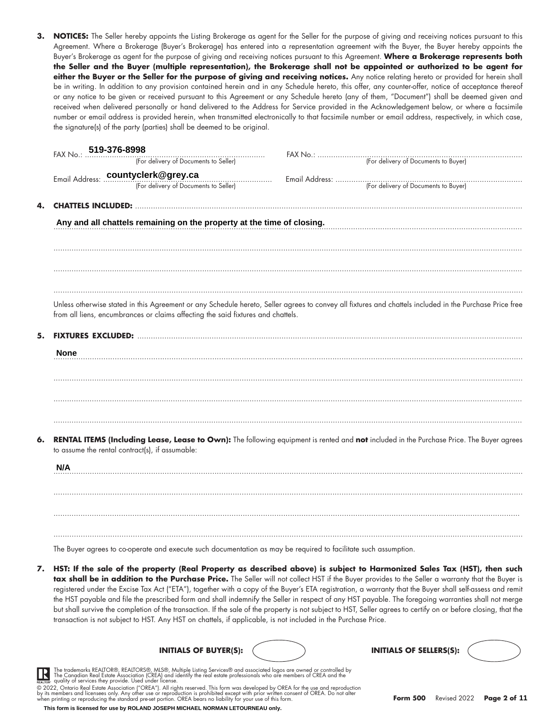**3. NOTICES:** The Seller hereby appoints the Listing Brokerage as agent for the Seller for the purpose of giving and receiving notices pursuant to this Agreement. Where a Brokerage (Buyer's Brokerage) has entered into a representation agreement with the Buyer, the Buyer hereby appoints the Buyer's Brokerage as agent for the purpose of giving and receiving notices pursuant to this Agreement. **Where a Brokerage represents both the Seller and the Buyer (multiple representation), the Brokerage shall not be appointed or authorized to be agent for**  either the Buyer or the Seller for the purpose of giving and receiving notices. Any notice relating hereto or provided for herein shall be in writing. In addition to any provision contained herein and in any Schedule hereto, this offer, any counter-offer, notice of acceptance thereof or any notice to be given or received pursuant to this Agreement or any Schedule hereto (any of them, "Document") shall be deemed given and received when delivered personally or hand delivered to the Address for Service provided in the Acknowledgement below, or where a facsimile number or email address is provided herein, when transmitted electronically to that facsimile number or email address, respectively, in which case, the signature(s) of the party (parties) shall be deemed to be original.

|    | 519-376-8998<br>FAX No.: .<br>(For delivery of Documents to Seller)                                                                                                                                                                                                                                                                                                                                                                                                                                                                                                                                                                                                                                                                                                                                                                                                                | $\begin{minipage}{0.9\linewidth} \textsf{FAX No.:} \begin{minipage}{0.9\linewidth} \textsf{FAX No.:} \begin{minipage}{0.9\linewidth} \textsf{For delivery of Documents to Buyer} \end{minipage} \end{minipage}$                                                                                                                                                                                                                                                                                                                                                                   |
|----|------------------------------------------------------------------------------------------------------------------------------------------------------------------------------------------------------------------------------------------------------------------------------------------------------------------------------------------------------------------------------------------------------------------------------------------------------------------------------------------------------------------------------------------------------------------------------------------------------------------------------------------------------------------------------------------------------------------------------------------------------------------------------------------------------------------------------------------------------------------------------------|-----------------------------------------------------------------------------------------------------------------------------------------------------------------------------------------------------------------------------------------------------------------------------------------------------------------------------------------------------------------------------------------------------------------------------------------------------------------------------------------------------------------------------------------------------------------------------------|
|    | (For delivery of Documents to Seller)                                                                                                                                                                                                                                                                                                                                                                                                                                                                                                                                                                                                                                                                                                                                                                                                                                              | $\small \textsf{Email Address:} \begin{minipage}{1.5\textwidth} \begin{minipage}{0.5\textwidth} \centering \textit{Final Address:} \end{minipage}{ \begin{minipage}{0.5\textwidth} \centering \begin{minipage}{0.5\textwidth} \centering \textit{Final States:} \end{minipage} } \begin{minipage}{0.5\textwidth} \centering \begin{minipage}{0.5\textwidth} \centering \textit{Final States:} \end{minipage} \end{minipage} \begin{minipage}{0.5\textwidth} \centering \begin{minipage}{0.5\textwidth} \centering \centering \textit{Final States:} \end{minipage} \end{minipage$ |
| 4. |                                                                                                                                                                                                                                                                                                                                                                                                                                                                                                                                                                                                                                                                                                                                                                                                                                                                                    |                                                                                                                                                                                                                                                                                                                                                                                                                                                                                                                                                                                   |
|    | Any and all chattels remaining on the property at the time of closing.                                                                                                                                                                                                                                                                                                                                                                                                                                                                                                                                                                                                                                                                                                                                                                                                             |                                                                                                                                                                                                                                                                                                                                                                                                                                                                                                                                                                                   |
|    |                                                                                                                                                                                                                                                                                                                                                                                                                                                                                                                                                                                                                                                                                                                                                                                                                                                                                    |                                                                                                                                                                                                                                                                                                                                                                                                                                                                                                                                                                                   |
|    | Unless otherwise stated in this Agreement or any Schedule hereto, Seller agrees to convey all fixtures and chattels included in the Purchase Price free<br>from all liens, encumbrances or claims affecting the said fixtures and chattels.                                                                                                                                                                                                                                                                                                                                                                                                                                                                                                                                                                                                                                        |                                                                                                                                                                                                                                                                                                                                                                                                                                                                                                                                                                                   |
| 5. |                                                                                                                                                                                                                                                                                                                                                                                                                                                                                                                                                                                                                                                                                                                                                                                                                                                                                    |                                                                                                                                                                                                                                                                                                                                                                                                                                                                                                                                                                                   |
|    | <b>None</b>                                                                                                                                                                                                                                                                                                                                                                                                                                                                                                                                                                                                                                                                                                                                                                                                                                                                        |                                                                                                                                                                                                                                                                                                                                                                                                                                                                                                                                                                                   |
|    |                                                                                                                                                                                                                                                                                                                                                                                                                                                                                                                                                                                                                                                                                                                                                                                                                                                                                    |                                                                                                                                                                                                                                                                                                                                                                                                                                                                                                                                                                                   |
|    |                                                                                                                                                                                                                                                                                                                                                                                                                                                                                                                                                                                                                                                                                                                                                                                                                                                                                    |                                                                                                                                                                                                                                                                                                                                                                                                                                                                                                                                                                                   |
| 6. | RENTAL ITEMS (Including Lease, Lease to Own): The following equipment is rented and not included in the Purchase Price. The Buyer agrees                                                                                                                                                                                                                                                                                                                                                                                                                                                                                                                                                                                                                                                                                                                                           |                                                                                                                                                                                                                                                                                                                                                                                                                                                                                                                                                                                   |
|    | to assume the rental contract(s), if assumable:                                                                                                                                                                                                                                                                                                                                                                                                                                                                                                                                                                                                                                                                                                                                                                                                                                    |                                                                                                                                                                                                                                                                                                                                                                                                                                                                                                                                                                                   |
|    | N/A                                                                                                                                                                                                                                                                                                                                                                                                                                                                                                                                                                                                                                                                                                                                                                                                                                                                                |                                                                                                                                                                                                                                                                                                                                                                                                                                                                                                                                                                                   |
|    |                                                                                                                                                                                                                                                                                                                                                                                                                                                                                                                                                                                                                                                                                                                                                                                                                                                                                    |                                                                                                                                                                                                                                                                                                                                                                                                                                                                                                                                                                                   |
|    |                                                                                                                                                                                                                                                                                                                                                                                                                                                                                                                                                                                                                                                                                                                                                                                                                                                                                    |                                                                                                                                                                                                                                                                                                                                                                                                                                                                                                                                                                                   |
|    | The Buyer agrees to co-operate and execute such documentation as may be required to facilitate such assumption.                                                                                                                                                                                                                                                                                                                                                                                                                                                                                                                                                                                                                                                                                                                                                                    |                                                                                                                                                                                                                                                                                                                                                                                                                                                                                                                                                                                   |
| 7. | HST: If the sale of the property (Real Property as described above) is subject to Harmonized Sales Tax (HST), then such<br>tax shall be in addition to the Purchase Price. The Seller will not collect HST if the Buyer provides to the Seller a warranty that the Buyer is<br>registered under the Excise Tax Act ("ETA"), together with a copy of the Buyer's ETA registration, a warranty that the Buyer shall self-assess and remit<br>the HST payable and file the prescribed form and shall indemnify the Seller in respect of any HST payable. The foregoing warranties shall not merge<br>but shall survive the completion of the transaction. If the sale of the property is not subject to HST, Seller agrees to certify on or before closing, that the<br>transaction is not subject to HST. Any HST on chattels, if applicable, is not included in the Purchase Price. |                                                                                                                                                                                                                                                                                                                                                                                                                                                                                                                                                                                   |
|    | <b>INITIALS OF BUYER(S):</b>                                                                                                                                                                                                                                                                                                                                                                                                                                                                                                                                                                                                                                                                                                                                                                                                                                                       | <b>INITIALS OF SELLERS(S):</b>                                                                                                                                                                                                                                                                                                                                                                                                                                                                                                                                                    |
|    | The trademarks REALTOR®, REALTORS®, MLS®, Multiple Listing Services® and associated logos are owned or controlled by<br>The Canadian Real Estate Association (CREA) and identify the real estate professionals who are members of<br>© 2022, Ontario Real Estate Association ("OREA"). All rights reserved. This form was developed by OREA for the use and reproduction<br>by its members and licensees only. Any other use or reproduction is prohibited except with                                                                                                                                                                                                                                                                                                                                                                                                             |                                                                                                                                                                                                                                                                                                                                                                                                                                                                                                                                                                                   |
|    | This form is licensed for use by ROLAND JOSEPH MICHAEL NORMAN LETOURNEAU only.                                                                                                                                                                                                                                                                                                                                                                                                                                                                                                                                                                                                                                                                                                                                                                                                     | Revised 2022<br><b>Form 500</b><br>Page 2 of 1                                                                                                                                                                                                                                                                                                                                                                                                                                                                                                                                    |



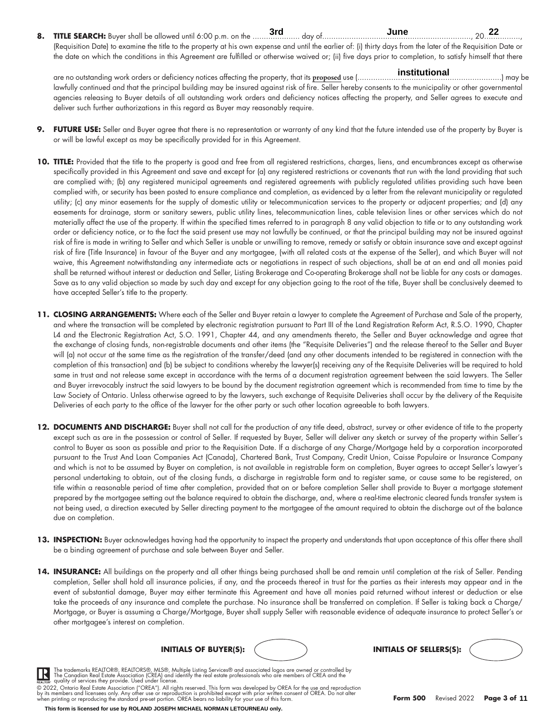**8. TITLE SEARCH:** Buyer shall be allowed until 6:00 p.m. on the ..................... day of.................................................................., 20................, **3rd** (Requisition Date) to examine the title to the property at his own expense and until the earlier of: (i) thirty days from the later of the Requisition Date or the date on which the conditions in this Agreement are fulfilled or otherwise waived or; (ii) five days prior to completion, to satisfy himself that there

are no outstanding work orders or deficiency notices affecting the property, that its **proposed** use (................................................................) may be lawfully continued and that the principal building may be insured against risk of fire. Seller hereby consents to the municipality or other governmental agencies releasing to Buyer details of all outstanding work orders and deficiency notices affecting the property, and Seller agrees to execute and deliver such further authorizations in this regard as Buyer may reasonably require.

- **9. FUTURE USE:** Seller and Buyer agree that there is no representation or warranty of any kind that the future intended use of the property by Buyer is or will be lawful except as may be specifically provided for in this Agreement.
- **10. TITLE:** Provided that the title to the property is good and free from all registered restrictions, charges, liens, and encumbrances except as otherwise specifically provided in this Agreement and save and except for (a) any registered restrictions or covenants that run with the land providing that such are complied with; (b) any registered municipal agreements and registered agreements with publicly regulated utilities providing such have been complied with, or security has been posted to ensure compliance and completion, as evidenced by a letter from the relevant municipality or regulated utility; (c) any minor easements for the supply of domestic utility or telecommunication services to the property or adjacent properties; and (d) any easements for drainage, storm or sanitary sewers, public utility lines, telecommunication lines, cable television lines or other services which do not materially affect the use of the property. If within the specified times referred to in paragraph 8 any valid objection to title or to any outstanding work order or deficiency notice, or to the fact the said present use may not lawfully be continued, or that the principal building may not be insured against risk of fire is made in writing to Seller and which Seller is unable or unwilling to remove, remedy or satisfy or obtain insurance save and except against risk of fire (Title Insurance) in favour of the Buyer and any mortgagee, (with all related costs at the expense of the Seller), and which Buyer will not waive, this Agreement notwithstanding any intermediate acts or negotiations in respect of such objections, shall be at an end and all monies paid shall be returned without interest or deduction and Seller, Listing Brokerage and Co-operating Brokerage shall not be liable for any costs or damages. Save as to any valid objection so made by such day and except for any objection going to the root of the title, Buyer shall be conclusively deemed to have accepted Seller's title to the property. **This facebook is a similar of the signal of the signal of the signal of the signal of the signal of the signal of the signal of the signal of the signal of the signal of the signal of the signal of the signal of the sign**
- 11. CLOSING ARRANGEMENTS: Where each of the Seller and Buyer retain a lawyer to complete the Agreement of Purchase and Sale of the property, and where the transaction will be completed by electronic registration pursuant to Part III of the Land Registration Reform Act, R.S.O. 1990, Chapter L4 and the Electronic Registration Act, S.O. 1991, Chapter 44, and any amendments thereto, the Seller and Buyer acknowledge and agree that the exchange of closing funds, non-registrable documents and other items (the "Requisite Deliveries") and the release thereof to the Seller and Buyer will (a) not occur at the same time as the registration of the transfer/deed (and any other documents intended to be registered in connection with the completion of this transaction) and (b) be subject to conditions whereby the lawyer(s) receiving any of the Requisite Deliveries will be required to hold same in trust and not release same except in accordance with the terms of a document registration agreement between the said lawyers. The Seller and Buyer irrevocably instruct the said lawyers to be bound by the document registration agreement which is recommended from time to time by the Law Society of Ontario. Unless otherwise agreed to by the lawyers, such exchange of Requisite Deliveries shall occur by the delivery of the Requisite Deliveries of each party to the office of the lawyer for the other party or such other location agreeable to both lawyers.
- 12. DOCUMENTS AND DISCHARGE: Buyer shall not call for the production of any title deed, abstract, survey or other evidence of title to the property except such as are in the possession or control of Seller. If requested by Buyer, Seller will deliver any sketch or survey of the property within Seller's control to Buyer as soon as possible and prior to the Requisition Date. If a discharge of any Charge/Mortgage held by a corporation incorporated pursuant to the Trust And Loan Companies Act (Canada), Chartered Bank, Trust Company, Credit Union, Caisse Populaire or Insurance Company and which is not to be assumed by Buyer on completion, is not available in registrable form on completion, Buyer agrees to accept Seller's lawyer's personal undertaking to obtain, out of the closing funds, a discharge in registrable form and to register same, or cause same to be registered, on title within a reasonable period of time after completion, provided that on or before completion Seller shall provide to Buyer a mortgage statement prepared by the mortgagee setting out the balance required to obtain the discharge, and, where a real-time electronic cleared funds transfer system is not being used, a direction executed by Seller directing payment to the mortgagee of the amount required to obtain the discharge out of the balance due on completion.
- 13. **INSPECTION:** Buyer acknowledges having had the opportunity to inspect the property and understands that upon acceptance of this offer there shall be a binding agreement of purchase and sale between Buyer and Seller.
- **14. INSURANCE:** All buildings on the property and all other things being purchased shall be and remain until completion at the risk of Seller. Pending completion, Seller shall hold all insurance policies, if any, and the proceeds thereof in trust for the parties as their interests may appear and in the event of substantial damage, Buyer may either terminate this Agreement and have all monies paid returned without interest or deduction or else take the proceeds of any insurance and complete the purchase. No insurance shall be transferred on completion. If Seller is taking back a Charge/ Mortgage, or Buyer is assuming a Charge/Mortgage, Buyer shall supply Seller with reasonable evidence of adequate insurance to protect Seller's or other mortgagee's interest on completion.



**INITIALS OF BUYER(S):** (  $\qquad \qquad$  ) **INITIALS OF SELLERS(S):** 



The trademarks REALTOR®, REALTORS®, MLS®, Multiple Listing Services® and associated logos are owned or controlled by<br>The Canadian Real Estate Association (CREA) and identify the real estate professionals who are members of © 2022, Ontario Real Estate Association ("OREA"). All rights reserved. This form was developed by OREA for the use and reproduction<br>by its members and licensees only. Any other use or reproduction is prohibited except with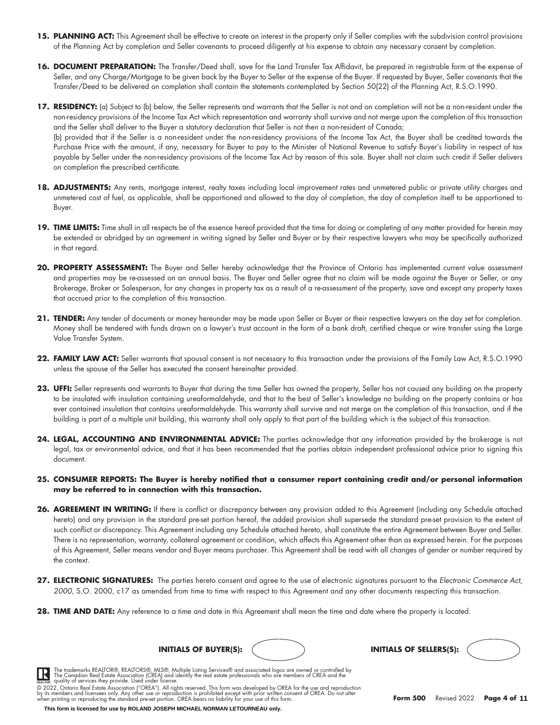- 15. PLANNING ACT: This Agreement shall be effective to create an interest in the property only if Seller complies with the subdivision control provisions of the Planning Act by completion and Seller covenants to proceed diligently at his expense to obtain any necessary consent by completion.
- **16. DOCUMENT PREPARATION:** The Transfer/Deed shall, save for the Land Transfer Tax Affidavit, be prepared in registrable form at the expense of Seller, and any Charge/Mortgage to be given back by the Buyer to Seller at the expense of the Buyer. If requested by Buyer, Seller covenants that the Transfer/Deed to be delivered on completion shall contain the statements contemplated by Section 50(22) of the Planning Act, R.S.O.1990.
- 17. RESIDENCY: (a) Subject to (b) below, the Seller represents and warrants that the Seller is not and on completion will not be a non-resident under the non-residency provisions of the Income Tax Act which representation and warranty shall survive and not merge upon the completion of this transaction and the Seller shall deliver to the Buyer a statutory declaration that Seller is not then a non-resident of Canada; (b) provided that if the Seller is a non-resident under the non-residency provisions of the Income Tax Act, the Buyer shall be credited towards the Purchase Price with the amount, if any, necessary for Buyer to pay to the Minister of National Revenue to satisfy Buyer's liability in respect of tax payable by Seller under the non-residency provisions of the Income Tax Act by reason of this sale. Buyer shall not claim such credit if Seller delivers on completion the prescribed certificate.
- **18. ADJUSTMENTS:** Any rents, mortgage interest, realty taxes including local improvement rates and unmetered public or private utility charges and unmetered cost of fuel, as applicable, shall be apportioned and allowed to the day of completion, the day of completion itself to be apportioned to Buyer.
- **19. TIME LIMITS:** Time shall in all respects be of the essence hereof provided that the time for doing or completing of any matter provided for herein may be extended or abridged by an agreement in writing signed by Seller and Buyer or by their respective lawyers who may be specifically authorized in that regard.
- **20. PROPERTY ASSESSMENT:** The Buyer and Seller hereby acknowledge that the Province of Ontario has implemented current value assessment and properties may be re-assessed on an annual basis. The Buyer and Seller agree that no claim will be made against the Buyer or Seller, or any Brokerage, Broker or Salesperson, for any changes in property tax as a result of a re-assessment of the property, save and except any property taxes that accrued prior to the completion of this transaction.
- **21. TENDER:** Any tender of documents or money hereunder may be made upon Seller or Buyer or their respective lawyers on the day set for completion. Money shall be tendered with funds drawn on a lawyer's trust account in the form of a bank draft, certified cheque or wire transfer using the Large Value Transfer System.
- **22. FAMILY LAW ACT:** Seller warrants that spousal consent is not necessary to this transaction under the provisions of the Family Law Act, R.S.O.1990 unless the spouse of the Seller has executed the consent hereinafter provided.
- **23. UFFI:** Seller represents and warrants to Buyer that during the time Seller has owned the property, Seller has not caused any building on the property to be insulated with insulation containing ureaformaldehyde, and that to the best of Seller's knowledge no building on the property contains or has ever contained insulation that contains ureaformaldehyde. This warranty shall survive and not merge on the completion of this transaction, and if the building is part of a multiple unit building, this warranty shall only apply to that part of the building which is the subject of this transaction.
- **24. LEGAL, ACCOUNTING AND ENVIRONMENTAL ADVICE:** The parties acknowledge that any information provided by the brokerage is not legal, tax or environmental advice, and that it has been recommended that the parties obtain independent professional advice prior to signing this document.
- **25. CONSUMER REPORTS: The Buyer is hereby notified that a consumer report containing credit and/or personal information may be referred to in connection with this transaction.**
- 26. AGREEMENT IN WRITING: If there is conflict or discrepancy between any provision added to this Agreement (including any Schedule attached hereto) and any provision in the standard pre-set portion hereof, the added provision shall supersede the standard pre-set provision to the extent of such conflict or discrepancy. This Agreement including any Schedule attached hereto, shall constitute the entire Agreement between Buyer and Seller. There is no representation, warranty, collateral agreement or condition, which affects this Agreement other than as expressed herein. For the purposes of this Agreement, Seller means vendor and Buyer means purchaser. This Agreement shall be read with all changes of gender or number required by the context.
- **27. ELECTRONIC SIGNATURES:** The parties hereto consent and agree to the use of electronic signatures pursuant to the *Electronic Commerce Act, 2000,* S.O. 2000, c17 as amended from time to time with respect to this Agreement and any other documents respecting this transaction.
- **28. TIME AND DATE:** Any reference to a time and date in this Agreement shall mean the time and date where the property is located.





**INITIALS OF BUYER(S):** (  $\qquad$  ) **INITIALS OF SELLERS(S):** 



The trademarks REALTOR®, REALTORS®, MLS®, Multiple Listing Services® and associated logos are owned or controlled by<br>The Canadian Real Estate Association (CREA) and identify the real estate professionals who are members of

© 2022, Ontario Real Estate Association ("OREA"). All rights reserved. This form was developed by OREA for the use and reproduction<br>by its members and licensees only. Any other use or reproduction is prohibited except with

R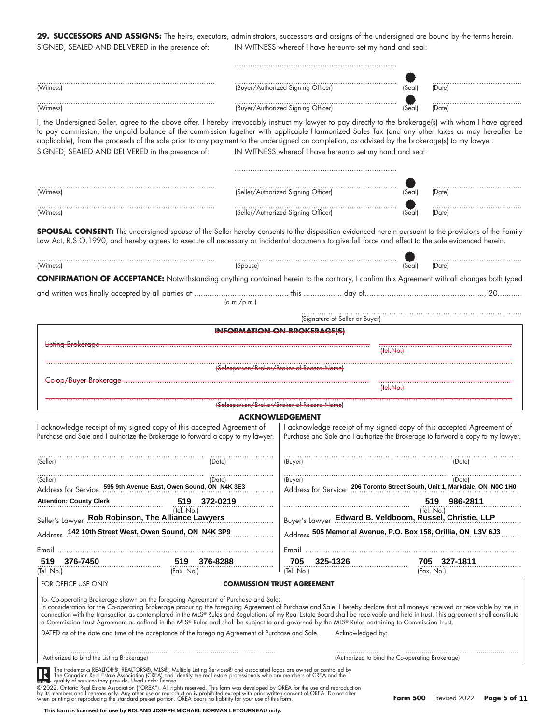**29. SUCCESSORS AND ASSIGNS:** The heirs, executors, administrators, successors and assigns of the undersigned are bound by the terms herein. SIGNED, SEALED AND DELIVERED in the presence of: IN WITNESS whereof I have hereunto set my hand and seal:

| (Witness) | (Buyer/Authorized Signing Officer) | Sea | (Date) |
|-----------|------------------------------------|-----|--------|
|           |                                    |     |        |
| (Witness) | (Buyer/Authorized Signing Officer) | Sea | (Date) |

I, the Undersigned Seller, agree to the above offer. I hereby irrevocably instruct my lawyer to pay directly to the brokerage(s) with whom I have agreed to pay commission, the unpaid balance of the commission together with applicable Harmonized Sales Tax (and any other taxes as may hereafter be applicable), from the proceeds of the sale prior to any payment to the undersigned on completion, as advised by the brokerage(s) to my lawyer. SIGNED, SEALED AND DELIVERED in the presence of: IN WITNESS whereof I have hereunto set my hand and seal:

|           |                                     | 'Seai |        |
|-----------|-------------------------------------|-------|--------|
| (Witness) | (Seller/Authorized Signing Officer) |       | (Date) |
|           |                                     | Seal  |        |
| (Witness) | (Seller/Authorized Signing Officer) |       | (Date) |

........................................................................

.................................................................................................. (Signature of Seller or Buyer)

**SPOUSAL CONSENT:** The undersigned spouse of the Seller hereby consents to the disposition evidenced herein pursuant to the provisions of the Family Law Act, R.S.O.1990, and hereby agrees to execute all necessary or incidental documents to give full force and effect to the sale evidenced herein.

| (Witness)                                                                                                                                          | (Spouse)    | (Seal) | (Date) |
|----------------------------------------------------------------------------------------------------------------------------------------------------|-------------|--------|--------|
| <b>CONFIRMATION OF ACCEPTANCE:</b> Notwithstanding anything contained herein to the contrary, I confirm this Agreement with all changes both typed |             |        |        |
|                                                                                                                                                    |             |        |        |
|                                                                                                                                                    | (a.m./p.m.) |        |        |

|                                                    |                                                                                                                                                                                                                                       |                | (Signature of Seller or Buyer) |                                                                                                                                                                                                                                                                                                                                                              |
|----------------------------------------------------|---------------------------------------------------------------------------------------------------------------------------------------------------------------------------------------------------------------------------------------|----------------|--------------------------------|--------------------------------------------------------------------------------------------------------------------------------------------------------------------------------------------------------------------------------------------------------------------------------------------------------------------------------------------------------------|
|                                                    | <b>INFORMATION ON BROKERAGE(S)</b>                                                                                                                                                                                                    |                |                                |                                                                                                                                                                                                                                                                                                                                                              |
|                                                    |                                                                                                                                                                                                                                       |                |                                | <del>(Tel.No.)</del>                                                                                                                                                                                                                                                                                                                                         |
|                                                    | {Salesperson/Broker/Broker of Record Name}                                                                                                                                                                                            |                |                                |                                                                                                                                                                                                                                                                                                                                                              |
|                                                    |                                                                                                                                                                                                                                       |                |                                |                                                                                                                                                                                                                                                                                                                                                              |
|                                                    |                                                                                                                                                                                                                                       |                |                                | $HeI.No.}$                                                                                                                                                                                                                                                                                                                                                   |
|                                                    | (Salesperson/Broker/Broker of Record Name)                                                                                                                                                                                            |                |                                |                                                                                                                                                                                                                                                                                                                                                              |
|                                                    | <b>ACKNOWLEDGEMENT</b>                                                                                                                                                                                                                |                |                                |                                                                                                                                                                                                                                                                                                                                                              |
|                                                    | I acknowledge receipt of my signed copy of this accepted Agreement of<br>Purchase and Sale and I authorize the Brokerage to forward a copy to my lawyer.                                                                              |                |                                | I acknowledge receipt of my signed copy of this accepted Agreement of<br>Purchase and Sale and I authorize the Brokerage to forward a copy to my lawyer.                                                                                                                                                                                                     |
| (Seller)                                           | (Date)                                                                                                                                                                                                                                | (Buyer)        |                                | (Date)                                                                                                                                                                                                                                                                                                                                                       |
| (Seller)                                           | (Date)<br>Address for Service 595 9th Avenue East, Owen Sound, ON N4K 3E3                                                                                                                                                             | (Buyer)        |                                | (Date)<br>Address for Service 206 Toronto Street South, Unit 1, Markdale, ON NOC 1H0                                                                                                                                                                                                                                                                         |
| <b>Attention: County Clerk</b>                     | 519 372-0219                                                                                                                                                                                                                          |                |                                | 519 986-2811                                                                                                                                                                                                                                                                                                                                                 |
|                                                    | (Tel. No.)                                                                                                                                                                                                                            |                |                                | (Tel. No.)                                                                                                                                                                                                                                                                                                                                                   |
| Seller's Lawyer Rob Robinson, The Alliance Lawyers |                                                                                                                                                                                                                                       |                |                                | Buyer's Lawyer Edward B. Veldboom, Russel, Christie, LLP                                                                                                                                                                                                                                                                                                     |
| Address                                            | 142 10th Street West, Owen Sound, ON N4K 3P9                                                                                                                                                                                          | <b>Address</b> |                                | 505 Memorial Avenue, P.O. Box 158, Orillia, ON L3V 6J3                                                                                                                                                                                                                                                                                                       |
| Email .                                            |                                                                                                                                                                                                                                       | Email          |                                |                                                                                                                                                                                                                                                                                                                                                              |
| 519<br>376-7450                                    | 519<br>376-8288                                                                                                                                                                                                                       | 705            | 325-1326                       | 705 327-1811                                                                                                                                                                                                                                                                                                                                                 |
| (Tel. No.)                                         | (Fax. No.)                                                                                                                                                                                                                            | (Tel. No.)     |                                | (Fax. No.)                                                                                                                                                                                                                                                                                                                                                   |
| FOR OFFICE USE ONLY                                | <b>COMMISSION TRUST AGREEMENT</b>                                                                                                                                                                                                     |                |                                |                                                                                                                                                                                                                                                                                                                                                              |
|                                                    | To: Co-operating Brokerage shown on the foregoing Agreement of Purchase and Sale:<br>a Commission Trust Agreement as defined in the MLS® Rules and shall be subject to and governed by the MLS® Rules pertaining to Commission Trust. |                |                                | In consideration for the Co-operating Brokerage procuring the foregoing Agreement of Purchase and Sale, I hereby declare that all moneys received or receivable by me in<br>connection with the Transaction as contemplated in the MLS® Rules and Regulations of my Real Estate Board shall be receivable and held in trust. This agreement shall constitute |
|                                                    | DATED as of the date and time of the acceptance of the foregoing Agreement of Purchase and Sale.                                                                                                                                      |                | Acknowledged by:               |                                                                                                                                                                                                                                                                                                                                                              |
| (Authorized to bind the Listing Brokerage)         |                                                                                                                                                                                                                                       |                |                                | (Authorized to bind the Co-operating Brokerage)                                                                                                                                                                                                                                                                                                              |
|                                                    | The trademarks REALTOR®, REALTORS®, MLS®, Multiple Listing Services® and associated logos are owned or controlled by<br>The Canadian Real Estate Association (CREA) and identify the real estate professionals who are members of     |                |                                |                                                                                                                                                                                                                                                                                                                                                              |
|                                                    | © 2022, Ontario Real Estate Association ("OREA"). All rights reserved. This form was developed by OREA for the use and reproduction<br>by its members and licensees only. Any other use or reproduction is prohibited except with     |                |                                | <b>Form 500</b><br>Revised 2022<br>Page 5 of 11                                                                                                                                                                                                                                                                                                              |
|                                                    | This form is licensed for use by ROLAND JOSEPH MICHAEL NORMAN LETOURNEAU only.                                                                                                                                                        |                |                                |                                                                                                                                                                                                                                                                                                                                                              |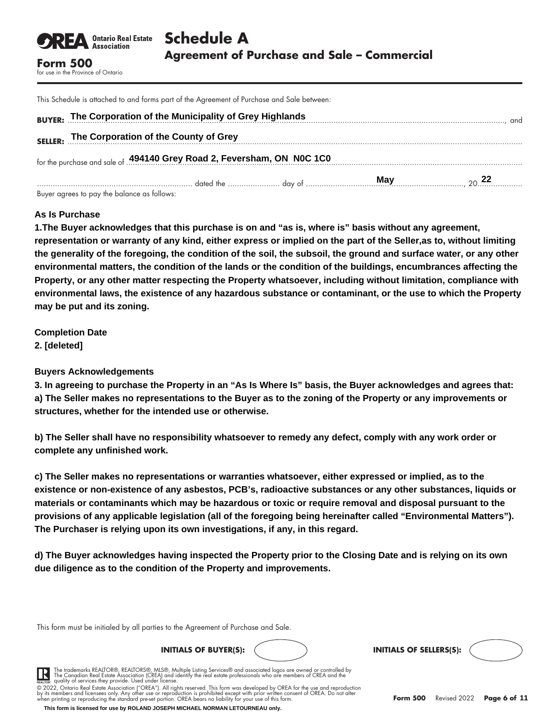for use in the Province of Ontario

This Schedule is attached to and forms part of the Agreement of Purchase and Sale between:

| BUYER: The Corporation of the Municipality of Grey Highlands <b>Experiment Corporation and Surger Corporation</b> and |                                                                               |  |  |  |  |
|-----------------------------------------------------------------------------------------------------------------------|-------------------------------------------------------------------------------|--|--|--|--|
|                                                                                                                       | <b>SELLER:</b> The Corporation of the County of Grey                          |  |  |  |  |
|                                                                                                                       | for the purchase and sale of <b>494140 Grey Road 2, Feversham, ON NOC 1CO</b> |  |  |  |  |
|                                                                                                                       | <u>may Max</u> 20.22                                                          |  |  |  |  |
|                                                                                                                       |                                                                               |  |  |  |  |

Buyer agrees to pay the balance as follows:

#### **As Is Purchase**

**The Corporation of the County of Grey**<br> **The Presentation of Society Road 2, Feversham, ON NGC 1C0<br>
Her yer states and the control of the society of the Corporation of the Society of the Control of the Bayer as to melodin 1.The Buyer acknowledges that this purchase is on and "as is, where is" basis without any agreement, representation or warranty of any kind, either express or implied on the part of the Seller,as to, without limiting the generality of the foregoing, the condition of the soil, the subsoil, the ground and surface water, or any other environmental matters, the condition of the lands or the condition of the buildings, encumbrances affecting the Property, or any other matter respecting the Property whatsoever, including without limitation, compliance with environmental laws, the existence of any hazardous substance or contaminant, or the use to which the Property may be put and its zoning.** 

**Completion Date 2. [deleted]** 

#### **Buyers Acknowledgements**

**3. In agreeing to purchase the Property in an "As Is Where Is" basis, the Buyer acknowledges and agrees that: a) The Seller makes no representations to the Buyer as to the zoning of the Property or any improvements or structures, whether for the intended use or otherwise.** 

**b) The Seller shall have no responsibility whatsoever to remedy any defect, comply with any work order or complete any unfinished work.** 

**c) The Seller makes no representations or warranties whatsoever, either expressed or implied, as to the existence or non-existence of any asbestos, PCB's, radioactive substances or any other substances, liquids or materials or contaminants which may be hazardous or toxic or require removal and disposal pursuant to the provisions of any applicable legislation (all of the foregoing being hereinafter called "Environmental Matters"). The Purchaser is relying upon its own investigations, if any, in this regard.** 

**d) The Buyer acknowledges having inspected the Property prior to the Closing Date and is relying on its own due diligence as to the condition of the Property and improvements.** 

This form must be initialed by all parties to the Agreement of Purchase and Sale.



**INITIALS OF BUYER(S):**  $\left($ 



The trademarks REALTOR®, REALTORS®, MLS®, Multiple Listing Services® and associated logos are owned or controlled by<br>The Canadian Real Estate Association (CREA) and identify the real estate professionals who are members of The Canadian Real Estate Association (CREA) and identify the real estate professionals who are me<br>quality of services they provide. Used under license.

© 2022, Ontario Real Estate Association ("OREA"). All rights reserved. This form was developed by OREA for the use and reproduction<br>by its members and licensees only. Any other use or reproduction is prohibited except with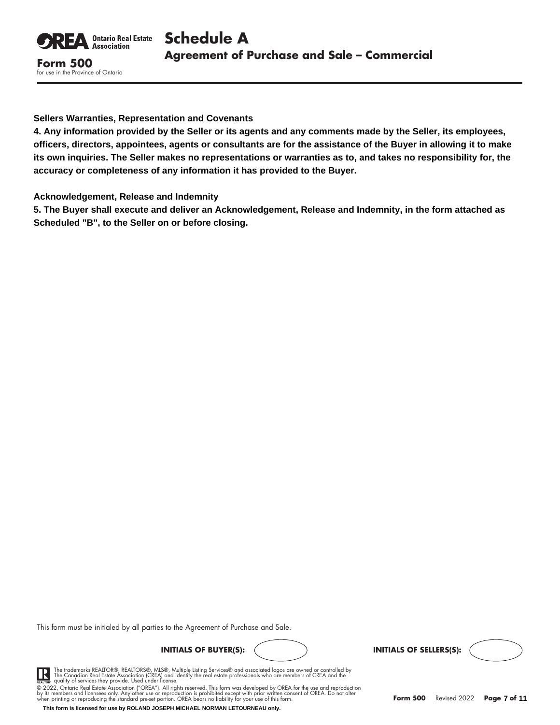![](_page_6_Picture_0.jpeg)

#### **Sellers Warranties, Representation and Covenants**

**4. Any information provided by the Seller or its agents and any comments made by the Seller, its employees, officers, directors, appointees, agents or consultants are for the assistance of the Buyer in allowing it to make its own inquiries. The Seller makes no representations or warranties as to, and takes no responsibility for, the accuracy or completeness of any information it has provided to the Buyer.** 

**Acknowledgement, Release and Indemnity** 

**5. The Buyer shall execute and deliver an Acknowledgement, Release and Indemnity, in the form attached as Scheduled "B", to the Seller on or before closing.**

This form must be initialed by all parties to the Agreement of Purchase and Sale.

![](_page_6_Picture_8.jpeg)

**INITIALS OF BUYER(S):**  $($ 

![](_page_6_Picture_10.jpeg)

The trademarks REALTOR®, REALTORS®, MLS®, Multiple Listing Services® and associated logos are owned or controlled by<br>The Canadian Real Estate Association (CREA) and identify the real estate professionals who are members of

© 2022, Ontario Real Estate Association ("OREA"). All rights reserved. This form was developed by OREA for the use and reproduction<br>by its members and licensees only. Any other use or reproduction is prohibited except with

 $\bf R$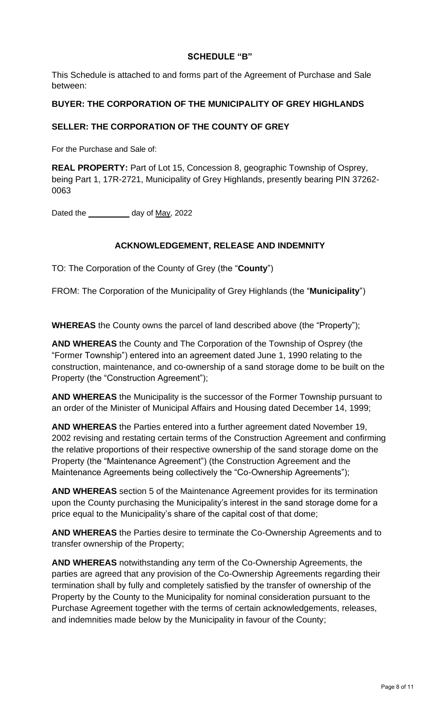## **SCHEDULE "B"**

This Schedule is attached to and forms part of the Agreement of Purchase and Sale between:

## **BUYER: THE CORPORATION OF THE MUNICIPALITY OF GREY HIGHLANDS**

## **SELLER: THE CORPORATION OF THE COUNTY OF GREY**

For the Purchase and Sale of:

**REAL PROPERTY:** Part of Lot 15, Concession 8, geographic Township of Osprey, being Part 1, 17R-2721, Municipality of Grey Highlands, presently bearing PIN 37262- 0063

Dated the \_\_\_\_\_\_\_\_\_\_\_ day of May, 2022

### **ACKNOWLEDGEMENT, RELEASE AND INDEMNITY**

TO: The Corporation of the County of Grey (the "**County**")

FROM: The Corporation of the Municipality of Grey Highlands (the "**Municipality**")

**WHEREAS** the County owns the parcel of land described above (the "Property");

**AND WHEREAS** the County and The Corporation of the Township of Osprey (the "Former Township") entered into an agreement dated June 1, 1990 relating to the construction, maintenance, and co-ownership of a sand storage dome to be built on the Property (the "Construction Agreement");

**AND WHEREAS** the Municipality is the successor of the Former Township pursuant to an order of the Minister of Municipal Affairs and Housing dated December 14, 1999;

**AND WHEREAS** the Parties entered into a further agreement dated November 19, 2002 revising and restating certain terms of the Construction Agreement and confirming the relative proportions of their respective ownership of the sand storage dome on the Property (the "Maintenance Agreement") (the Construction Agreement and the Maintenance Agreements being collectively the "Co-Ownership Agreements");

**AND WHEREAS** section 5 of the Maintenance Agreement provides for its termination upon the County purchasing the Municipality's interest in the sand storage dome for a price equal to the Municipality's share of the capital cost of that dome;

**AND WHEREAS** the Parties desire to terminate the Co-Ownership Agreements and to transfer ownership of the Property;

**AND WHEREAS** notwithstanding any term of the Co-Ownership Agreements, the parties are agreed that any provision of the Co-Ownership Agreements regarding their termination shall by fully and completely satisfied by the transfer of ownership of the Property by the County to the Municipality for nominal consideration pursuant to the Purchase Agreement together with the terms of certain acknowledgements, releases, and indemnities made below by the Municipality in favour of the County;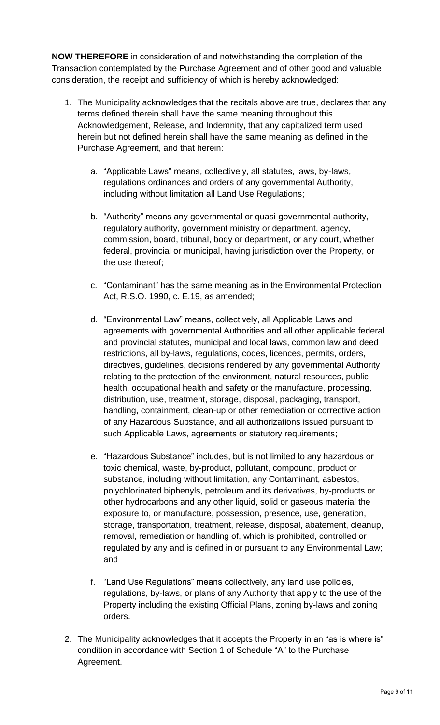**NOW THEREFORE** in consideration of and notwithstanding the completion of the Transaction contemplated by the Purchase Agreement and of other good and valuable consideration, the receipt and sufficiency of which is hereby acknowledged:

- 1. The Municipality acknowledges that the recitals above are true, declares that any terms defined therein shall have the same meaning throughout this Acknowledgement, Release, and Indemnity, that any capitalized term used herein but not defined herein shall have the same meaning as defined in the Purchase Agreement, and that herein:
	- a. "Applicable Laws" means, collectively, all statutes, laws, by-laws, regulations ordinances and orders of any governmental Authority, including without limitation all Land Use Regulations;
	- b. "Authority" means any governmental or quasi-governmental authority, regulatory authority, government ministry or department, agency, commission, board, tribunal, body or department, or any court, whether federal, provincial or municipal, having jurisdiction over the Property, or the use thereof;
	- c. "Contaminant" has the same meaning as in the Environmental Protection Act, R.S.O. 1990, c. E.19, as amended;
	- d. "Environmental Law" means, collectively, all Applicable Laws and agreements with governmental Authorities and all other applicable federal and provincial statutes, municipal and local laws, common law and deed restrictions, all by-laws, regulations, codes, licences, permits, orders, directives, guidelines, decisions rendered by any governmental Authority relating to the protection of the environment, natural resources, public health, occupational health and safety or the manufacture, processing, distribution, use, treatment, storage, disposal, packaging, transport, handling, containment, clean-up or other remediation or corrective action of any Hazardous Substance, and all authorizations issued pursuant to such Applicable Laws, agreements or statutory requirements;
	- e. "Hazardous Substance" includes, but is not limited to any hazardous or toxic chemical, waste, by-product, pollutant, compound, product or substance, including without limitation, any Contaminant, asbestos, polychlorinated biphenyls, petroleum and its derivatives, by-products or other hydrocarbons and any other liquid, solid or gaseous material the exposure to, or manufacture, possession, presence, use, generation, storage, transportation, treatment, release, disposal, abatement, cleanup, removal, remediation or handling of, which is prohibited, controlled or regulated by any and is defined in or pursuant to any Environmental Law; and
	- f. "Land Use Regulations" means collectively, any land use policies, regulations, by-laws, or plans of any Authority that apply to the use of the Property including the existing Official Plans, zoning by-laws and zoning orders.
- 2. The Municipality acknowledges that it accepts the Property in an "as is where is" condition in accordance with Section 1 of Schedule "A" to the Purchase Agreement.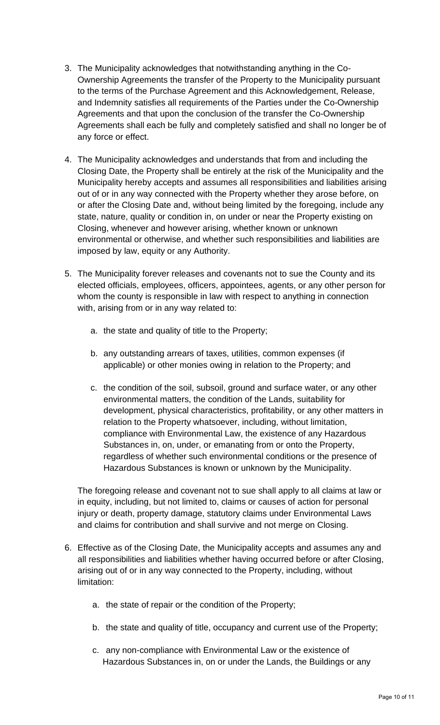- 3. The Municipality acknowledges that notwithstanding anything in the Co-Ownership Agreements the transfer of the Property to the Municipality pursuant to the terms of the Purchase Agreement and this Acknowledgement, Release, and Indemnity satisfies all requirements of the Parties under the Co-Ownership Agreements and that upon the conclusion of the transfer the Co-Ownership Agreements shall each be fully and completely satisfied and shall no longer be of any force or effect.
- 4. The Municipality acknowledges and understands that from and including the Closing Date, the Property shall be entirely at the risk of the Municipality and the Municipality hereby accepts and assumes all responsibilities and liabilities arising out of or in any way connected with the Property whether they arose before, on or after the Closing Date and, without being limited by the foregoing, include any state, nature, quality or condition in, on under or near the Property existing on Closing, whenever and however arising, whether known or unknown environmental or otherwise, and whether such responsibilities and liabilities are imposed by law, equity or any Authority.
- 5. The Municipality forever releases and covenants not to sue the County and its elected officials, employees, officers, appointees, agents, or any other person for whom the county is responsible in law with respect to anything in connection with, arising from or in any way related to:
	- a. the state and quality of title to the Property;
	- b. any outstanding arrears of taxes, utilities, common expenses (if applicable) or other monies owing in relation to the Property; and
	- c. the condition of the soil, subsoil, ground and surface water, or any other environmental matters, the condition of the Lands, suitability for development, physical characteristics, profitability, or any other matters in relation to the Property whatsoever, including, without limitation, compliance with Environmental Law, the existence of any Hazardous Substances in, on, under, or emanating from or onto the Property, regardless of whether such environmental conditions or the presence of Hazardous Substances is known or unknown by the Municipality.

The foregoing release and covenant not to sue shall apply to all claims at law or in equity, including, but not limited to, claims or causes of action for personal injury or death, property damage, statutory claims under Environmental Laws and claims for contribution and shall survive and not merge on Closing.

- 6. Effective as of the Closing Date, the Municipality accepts and assumes any and all responsibilities and liabilities whether having occurred before or after Closing, arising out of or in any way connected to the Property, including, without limitation:
	- a. the state of repair or the condition of the Property;
	- b. the state and quality of title, occupancy and current use of the Property;
	- c. any non-compliance with Environmental Law or the existence of Hazardous Substances in, on or under the Lands, the Buildings or any